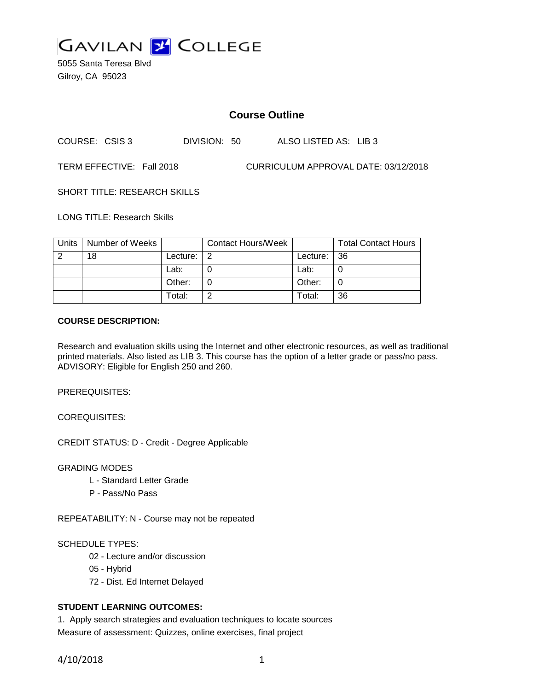

5055 Santa Teresa Blvd Gilroy, CA 95023

# **Course Outline**

COURSE: CSIS 3 DIVISION: 50 ALSO LISTED AS: LIB 3

TERM EFFECTIVE: Fall 2018 CURRICULUM APPROVAL DATE: 03/12/2018

SHORT TITLE: RESEARCH SKILLS

LONG TITLE: Research Skills

| Units | Number of Weeks |          | <b>Contact Hours/Week</b> |          | <b>Total Contact Hours</b> |
|-------|-----------------|----------|---------------------------|----------|----------------------------|
|       | 18              | Lecture: | ົ                         | Lecture: | -36                        |
|       |                 | Lab:     |                           | Lab:     |                            |
|       |                 | Other:   |                           | Other:   | 0                          |
|       |                 | Total:   | ⌒                         | Total:   | 36                         |

### **COURSE DESCRIPTION:**

Research and evaluation skills using the Internet and other electronic resources, as well as traditional printed materials. Also listed as LIB 3. This course has the option of a letter grade or pass/no pass. ADVISORY: Eligible for English 250 and 260.

PREREQUISITES:

COREQUISITES:

CREDIT STATUS: D - Credit - Degree Applicable

#### GRADING MODES

- L Standard Letter Grade
- P Pass/No Pass

REPEATABILITY: N - Course may not be repeated

#### SCHEDULE TYPES:

- 02 Lecture and/or discussion
- 05 Hybrid
- 72 Dist. Ed Internet Delayed

## **STUDENT LEARNING OUTCOMES:**

1. Apply search strategies and evaluation techniques to locate sources Measure of assessment: Quizzes, online exercises, final project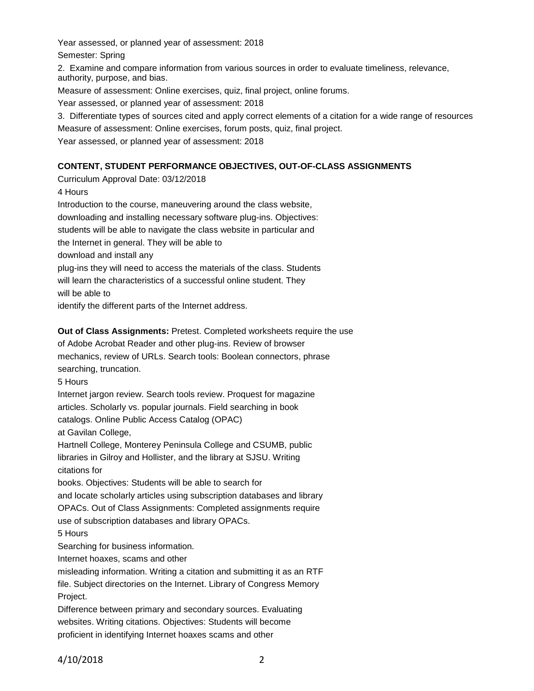Year assessed, or planned year of assessment: 2018 Semester: Spring

2. Examine and compare information from various sources in order to evaluate timeliness, relevance, authority, purpose, and bias.

Measure of assessment: Online exercises, quiz, final project, online forums.

Year assessed, or planned year of assessment: 2018

3. Differentiate types of sources cited and apply correct elements of a citation for a wide range of resources Measure of assessment: Online exercises, forum posts, quiz, final project.

Year assessed, or planned year of assessment: 2018

# **CONTENT, STUDENT PERFORMANCE OBJECTIVES, OUT-OF-CLASS ASSIGNMENTS**

Curriculum Approval Date: 03/12/2018 4 Hours Introduction to the course, maneuvering around the class website, downloading and installing necessary software plug-ins. Objectives: students will be able to navigate the class website in particular and the Internet in general. They will be able to download and install any plug-ins they will need to access the materials of the class. Students will learn the characteristics of a successful online student. They will be able to

identify the different parts of the Internet address.

**Out of Class Assignments:** Pretest. Completed worksheets require the use

of Adobe Acrobat Reader and other plug-ins. Review of browser mechanics, review of URLs. Search tools: Boolean connectors, phrase searching, truncation.

5 Hours

Internet jargon review. Search tools review. Proquest for magazine articles. Scholarly vs. popular journals. Field searching in book catalogs. Online Public Access Catalog (OPAC)

at Gavilan College,

Hartnell College, Monterey Peninsula College and CSUMB, public libraries in Gilroy and Hollister, and the library at SJSU. Writing citations for

books. Objectives: Students will be able to search for

and locate scholarly articles using subscription databases and library

OPACs. Out of Class Assignments: Completed assignments require

use of subscription databases and library OPACs.

5 Hours

Searching for business information.

Internet hoaxes, scams and other

misleading information. Writing a citation and submitting it as an RTF file. Subject directories on the Internet. Library of Congress Memory Project.

Difference between primary and secondary sources. Evaluating websites. Writing citations. Objectives: Students will become proficient in identifying Internet hoaxes scams and other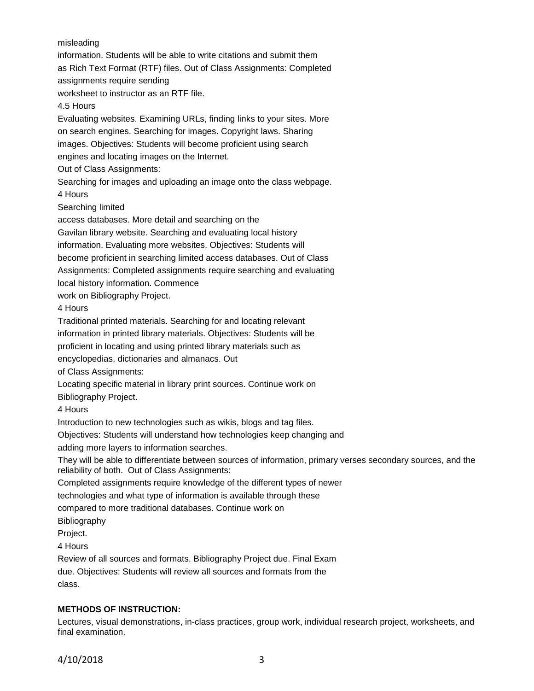misleading

information. Students will be able to write citations and submit them

as Rich Text Format (RTF) files. Out of Class Assignments: Completed

assignments require sending

worksheet to instructor as an RTF file.

4.5 Hours

Evaluating websites. Examining URLs, finding links to your sites. More on search engines. Searching for images. Copyright laws. Sharing images. Objectives: Students will become proficient using search engines and locating images on the Internet.

Out of Class Assignments:

Searching for images and uploading an image onto the class webpage. 4 Hours

Searching limited

access databases. More detail and searching on the

Gavilan library website. Searching and evaluating local history

information. Evaluating more websites. Objectives: Students will

become proficient in searching limited access databases. Out of Class

Assignments: Completed assignments require searching and evaluating

local history information. Commence

work on Bibliography Project.

4 Hours

Traditional printed materials. Searching for and locating relevant information in printed library materials. Objectives: Students will be proficient in locating and using printed library materials such as encyclopedias, dictionaries and almanacs. Out

of Class Assignments:

Locating specific material in library print sources. Continue work on

Bibliography Project.

4 Hours

Introduction to new technologies such as wikis, blogs and tag files.

Objectives: Students will understand how technologies keep changing and

adding more layers to information searches.

They will be able to differentiate between sources of information, primary verses secondary sources, and the reliability of both. Out of Class Assignments:

Completed assignments require knowledge of the different types of newer

technologies and what type of information is available through these

compared to more traditional databases. Continue work on

Bibliography

Project.

4 Hours

Review of all sources and formats. Bibliography Project due. Final Exam due. Objectives: Students will review all sources and formats from the class.

# **METHODS OF INSTRUCTION:**

Lectures, visual demonstrations, in-class practices, group work, individual research project, worksheets, and final examination.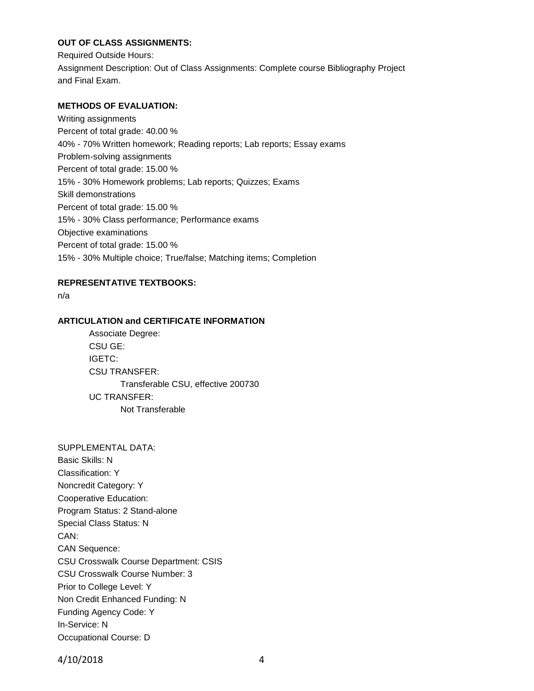## **OUT OF CLASS ASSIGNMENTS:**

Required Outside Hours: Assignment Description: Out of Class Assignments: Complete course Bibliography Project and Final Exam.

### **METHODS OF EVALUATION:**

Writing assignments Percent of total grade: 40.00 % 40% - 70% Written homework; Reading reports; Lab reports; Essay exams Problem-solving assignments Percent of total grade: 15.00 % 15% - 30% Homework problems; Lab reports; Quizzes; Exams Skill demonstrations Percent of total grade: 15.00 % 15% - 30% Class performance; Performance exams Objective examinations Percent of total grade: 15.00 % 15% - 30% Multiple choice; True/false; Matching items; Completion

## **REPRESENTATIVE TEXTBOOKS:**

n/a

#### **ARTICULATION and CERTIFICATE INFORMATION**

Associate Degree: CSU GE: IGETC: CSU TRANSFER: Transferable CSU, effective 200730 UC TRANSFER: Not Transferable

SUPPLEMENTAL DATA: Basic Skills: N Classification: Y Noncredit Category: Y Cooperative Education: Program Status: 2 Stand-alone Special Class Status: N CAN: CAN Sequence: CSU Crosswalk Course Department: CSIS CSU Crosswalk Course Number: 3 Prior to College Level: Y Non Credit Enhanced Funding: N Funding Agency Code: Y In-Service: N Occupational Course: D

4/10/2018 4